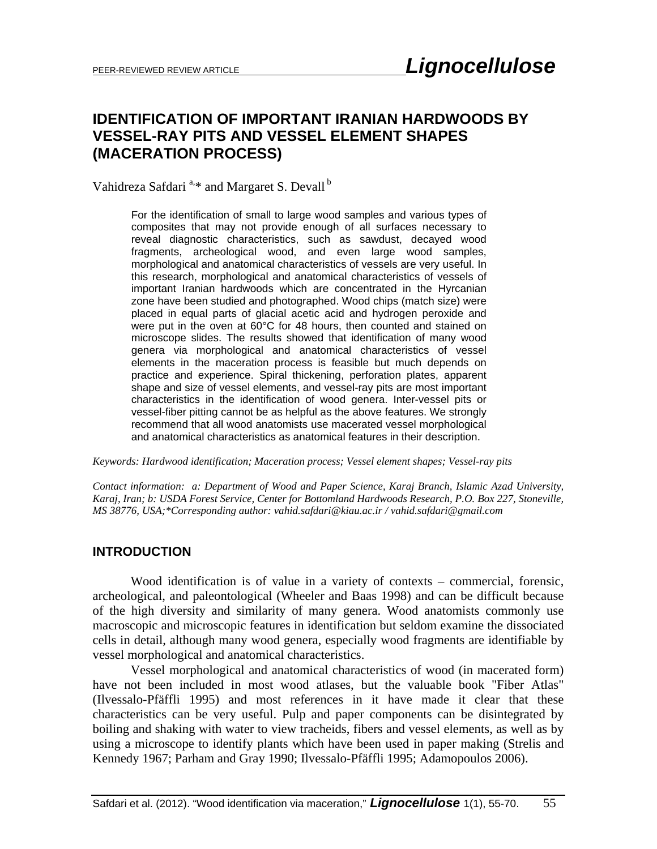## **IDENTIFICATION OF IMPORTANT IRANIAN HARDWOODS BY VESSEL-RAY PITS AND VESSEL ELEMENT SHAPES (MACERATION PROCESS)**

Vahidreza Safdari<sup>a,\*</sup> and Margaret S. Devall<sup>b</sup>

For the identification of small to large wood samples and various types of composites that may not provide enough of all surfaces necessary to reveal diagnostic characteristics, such as sawdust, decayed wood fragments, archeological wood, and even large wood samples, morphological and anatomical characteristics of vessels are very useful. In this research, morphological and anatomical characteristics of vessels of important Iranian hardwoods which are concentrated in the Hyrcanian zone have been studied and photographed. Wood chips (match size) were placed in equal parts of glacial acetic acid and hydrogen peroxide and were put in the oven at 60°C for 48 hours, then counted and stained on microscope slides. The results showed that identification of many wood genera via morphological and anatomical characteristics of vessel elements in the maceration process is feasible but much depends on practice and experience. Spiral thickening, perforation plates, apparent shape and size of vessel elements, and vessel-ray pits are most important characteristics in the identification of wood genera. Inter-vessel pits or vessel-fiber pitting cannot be as helpful as the above features. We strongly recommend that all wood anatomists use macerated vessel morphological and anatomical characteristics as anatomical features in their description.

*Keywords: Hardwood identification; Maceration process; Vessel element shapes; Vessel-ray pits* 

*Contact information: a: Department of Wood and Paper Science, Karaj Branch, Islamic Azad University, Karaj, Iran; b: USDA Forest Service, Center for Bottomland Hardwoods Research, P.O. Box 227, Stoneville, MS 38776, USA;\*Corresponding author: vahid.safdari@kiau.ac.ir / vahid.safdari@gmail.com* 

#### **INTRODUCTION**

Wood identification is of value in a variety of contexts – commercial, forensic, archeological, and paleontological (Wheeler and Baas 1998) and can be difficult because of the high diversity and similarity of many genera. Wood anatomists commonly use macroscopic and microscopic features in identification but seldom examine the dissociated cells in detail, although many wood genera, especially wood fragments are identifiable by vessel morphological and anatomical characteristics.

Vessel morphological and anatomical characteristics of wood (in macerated form) have not been included in most wood atlases, but the valuable book "Fiber Atlas" (Ilvessalo-Pfäffli 1995) and most references in it have made it clear that these characteristics can be very useful. Pulp and paper components can be disintegrated by boiling and shaking with water to view tracheids, fibers and vessel elements, as well as by using a microscope to identify plants which have been used in paper making (Strelis and Kennedy 1967; Parham and Gray 1990; Ilvessalo-Pfäffli 1995; Adamopoulos 2006).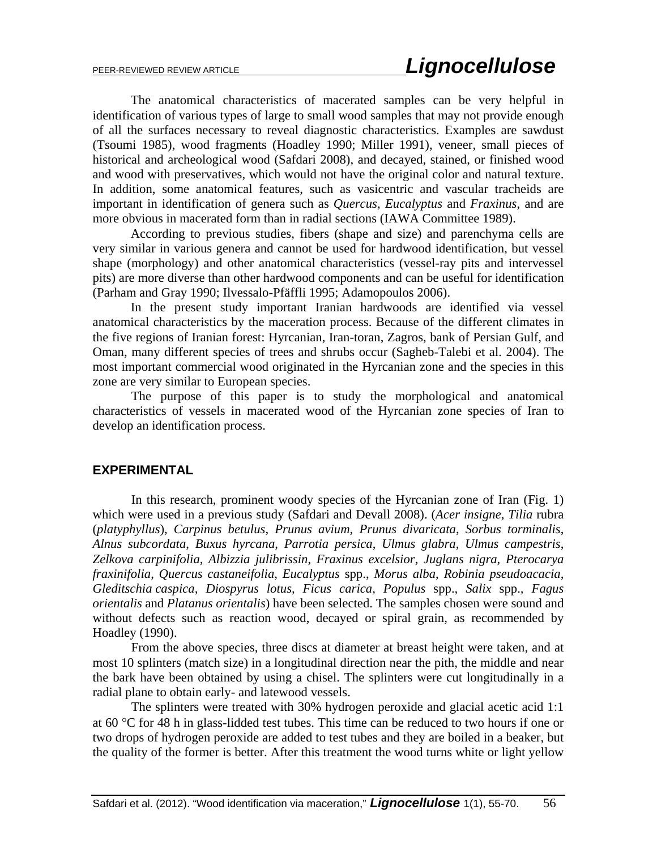The anatomical characteristics of macerated samples can be very helpful in identification of various types of large to small wood samples that may not provide enough of all the surfaces necessary to reveal diagnostic characteristics. Examples are sawdust (Tsoumi 1985), wood fragments (Hoadley 1990; Miller 1991), veneer, small pieces of historical and archeological wood (Safdari 2008), and decayed, stained, or finished wood and wood with preservatives, which would not have the original color and natural texture. In addition, some anatomical features, such as vasicentric and vascular tracheids are important in identification of genera such as *Quercus*, *Eucalyptus* and *Fraxinus*, and are more obvious in macerated form than in radial sections (IAWA Committee 1989).

According to previous studies, fibers (shape and size) and parenchyma cells are very similar in various genera and cannot be used for hardwood identification, but vessel shape (morphology) and other anatomical characteristics (vessel-ray pits and intervessel pits) are more diverse than other hardwood components and can be useful for identification (Parham and Gray 1990; Ilvessalo-Pfäffli 1995; Adamopoulos 2006).

In the present study important Iranian hardwoods are identified via vessel anatomical characteristics by the maceration process. Because of the different climates in the five regions of Iranian forest: Hyrcanian, Iran-toran, Zagros, bank of Persian Gulf, and Oman, many different species of trees and shrubs occur (Sagheb-Talebi et al. 2004). The most important commercial wood originated in the Hyrcanian zone and the species in this zone are very similar to European species.

The purpose of this paper is to study the morphological and anatomical characteristics of vessels in macerated wood of the Hyrcanian zone species of Iran to develop an identification process.

#### **EXPERIMENTAL**

In this research, prominent woody species of the Hyrcanian zone of Iran (Fig. 1) which were used in a previous study (Safdari and Devall 2008). (*Acer insigne*, *Tilia* rubra (*platyphyllus*), *Carpinus betulus*, *Prunus avium*, *Prunus divaricata*, *Sorbus torminalis*, *Alnus subcordata*, *Buxus hyrcana*, *Parrotia persica*, *Ulmus glabra*, *Ulmus campestris*, *Zelkova carpinifolia*, *Albizzia julibrissin*, *Fraxinus excelsior*, *Juglans nigra*, *Pterocarya fraxinifolia*, *Quercus castaneifolia*, *Eucalyptus* spp., *Morus alba*, *Robinia pseudoacacia*, *Gleditschia caspica, Diospyrus lotus, Ficus carica, Populus* spp.*, Salix* spp.*, Fagus orientalis* and *Platanus orientalis*) have been selected. The samples chosen were sound and without defects such as reaction wood, decayed or spiral grain, as recommended by Hoadley (1990).

From the above species, three discs at diameter at breast height were taken, and at most 10 splinters (match size) in a longitudinal direction near the pith, the middle and near the bark have been obtained by using a chisel. The splinters were cut longitudinally in a radial plane to obtain early- and latewood vessels.

The splinters were treated with 30% hydrogen peroxide and glacial acetic acid 1:1 at 60  $\degree$ C for 48 h in glass-lidded test tubes. This time can be reduced to two hours if one or two drops of hydrogen peroxide are added to test tubes and they are boiled in a beaker, but the quality of the former is better. After this treatment the wood turns white or light yellow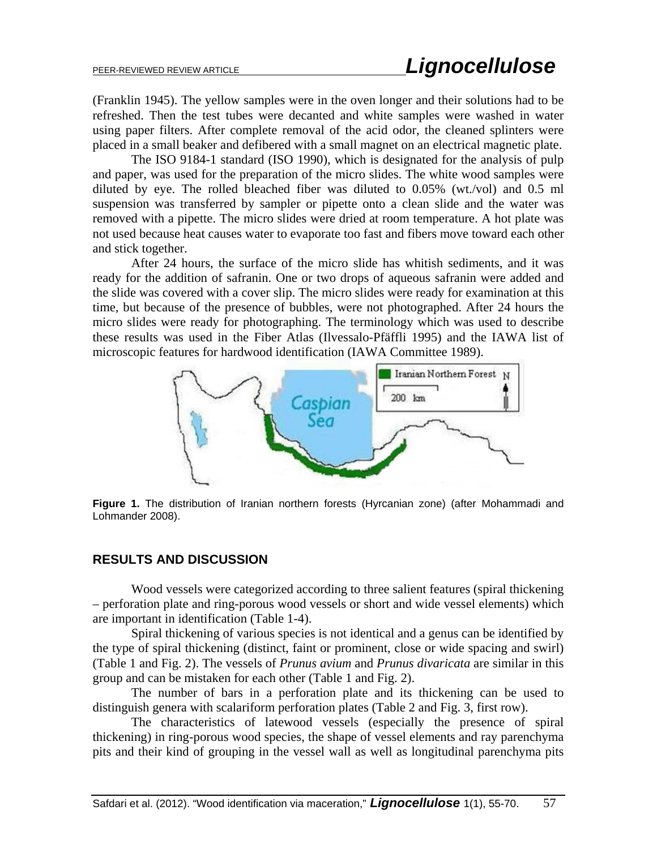(Franklin 1945). The yellow samples were in the oven longer and their solutions had to be refreshed. Then the test tubes were decanted and white samples were washed in water using paper filters. After complete removal of the acid odor, the cleaned splinters were placed in a small beaker and defibered with a small magnet on an electrical magnetic plate.

The ISO 9184-1 standard (ISO 1990), which is designated for the analysis of pulp and paper, was used for the preparation of the micro slides. The white wood samples were diluted by eye. The rolled bleached fiber was diluted to 0.05% (wt./vol) and 0.5 ml suspension was transferred by sampler or pipette onto a clean slide and the water was removed with a pipette. The micro slides were dried at room temperature. A hot plate was not used because heat causes water to evaporate too fast and fibers move toward each other and stick together.

After 24 hours, the surface of the micro slide has whitish sediments, and it was ready for the addition of safranin. One or two drops of aqueous safranin were added and the slide was covered with a cover slip. The micro slides were ready for examination at this time, but because of the presence of bubbles, were not photographed. After 24 hours the micro slides were ready for photographing. The terminology which was used to describe these results was used in the Fiber Atlas (Ilvessalo-Pfäffli 1995) and the IAWA list of microscopic features for hardwood identification (IAWA Committee 1989).



**Figure 1.** The distribution of Iranian northern forests (Hyrcanian zone) (after Mohammadi and Lohmander 2008).

#### **RESULTS AND DISCUSSION**

Wood vessels were categorized according to three salient features (spiral thickening – perforation plate and ring-porous wood vessels or short and wide vessel elements) which are important in identification (Table 1-4).

Spiral thickening of various species is not identical and a genus can be identified by the type of spiral thickening (distinct, faint or prominent, close or wide spacing and swirl) (Table 1 and Fig. 2). The vessels of *Prunus avium* and *Prunus divaricata* are similar in this group and can be mistaken for each other (Table 1 and Fig. 2).

The number of bars in a perforation plate and its thickening can be used to distinguish genera with scalariform perforation plates (Table 2 and Fig. 3, first row).

The characteristics of latewood vessels (especially the presence of spiral thickening) in ring-porous wood species, the shape of vessel elements and ray parenchyma pits and their kind of grouping in the vessel wall as well as longitudinal parenchyma pits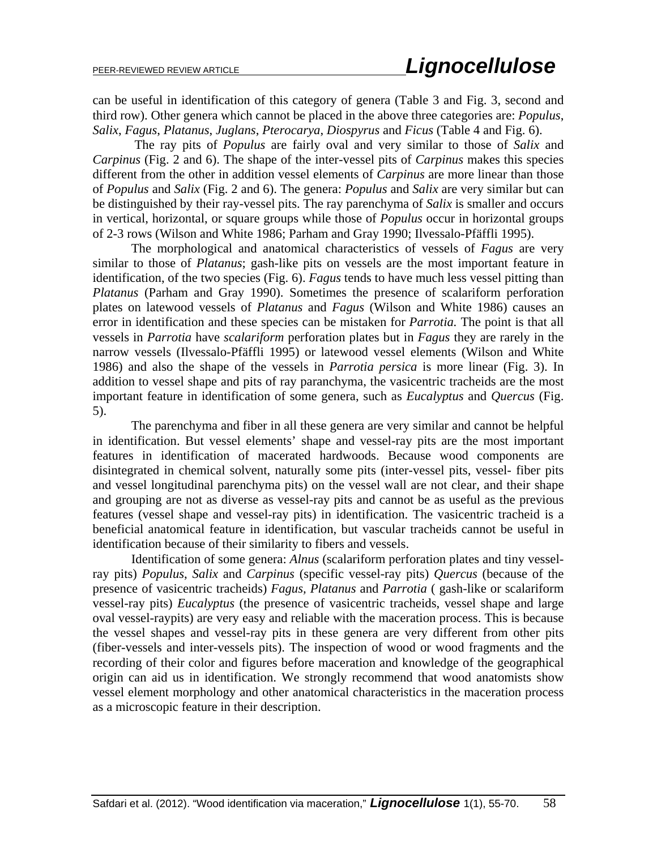can be useful in identification of this category of genera (Table 3 and Fig. 3, second and third row). Other genera which cannot be placed in the above three categories are: *Populus*, *Salix*, *Fagus*, *Platanus*, *Juglans*, *Pterocarya*, *Diospyrus* and *Ficus* (Table 4 and Fig. 6).

 The ray pits of *Populus* are fairly oval and very similar to those of *Salix* and *Carpinus* (Fig. 2 and 6). The shape of the inter-vessel pits of *Carpinus* makes this species different from the other in addition vessel elements of *Carpinus* are more linear than those of *Populus* and *Salix* (Fig. 2 and 6). The genera: *Populus* and *Salix* are very similar but can be distinguished by their ray-vessel pits. The ray parenchyma of *Salix* is smaller and occurs in vertical, horizontal, or square groups while those of *Populus* occur in horizontal groups of 2-3 rows (Wilson and White 1986; Parham and Gray 1990; Ilvessalo-Pfäffli 1995).

The morphological and anatomical characteristics of vessels of *Fagus* are very similar to those of *Platanus*; gash-like pits on vessels are the most important feature in identification, of the two species (Fig. 6). *Fagus* tends to have much less vessel pitting than *Platanus* (Parham and Gray 1990). Sometimes the presence of scalariform perforation plates on latewood vessels of *Platanus* and *Fagus* (Wilson and White 1986) causes an error in identification and these species can be mistaken for *Parrotia.* The point is that all vessels in *Parrotia* have *scalariform* perforation plates but in *Fagus* they are rarely in the narrow vessels (Ilvessalo-Pfäffli 1995) or latewood vessel elements (Wilson and White 1986) and also the shape of the vessels in *Parrotia persica* is more linear (Fig. 3). In addition to vessel shape and pits of ray paranchyma, the vasicentric tracheids are the most important feature in identification of some genera, such as *Eucalyptus* and *Quercus* (Fig. 5).

The parenchyma and fiber in all these genera are very similar and cannot be helpful in identification. But vessel elements' shape and vessel-ray pits are the most important features in identification of macerated hardwoods. Because wood components are disintegrated in chemical solvent, naturally some pits (inter-vessel pits, vessel- fiber pits and vessel longitudinal parenchyma pits) on the vessel wall are not clear, and their shape and grouping are not as diverse as vessel-ray pits and cannot be as useful as the previous features (vessel shape and vessel-ray pits) in identification. The vasicentric tracheid is a beneficial anatomical feature in identification, but vascular tracheids cannot be useful in identification because of their similarity to fibers and vessels.

Identification of some genera: *Alnus* (scalariform perforation plates and tiny vesselray pits) *Populus*, *Salix* and *Carpinus* (specific vessel-ray pits) *Quercus* (because of the presence of vasicentric tracheids) *Fagus, Platanus* and *Parrotia* ( gash-like or scalariform vessel-ray pits) *Eucalyptus* (the presence of vasicentric tracheids, vessel shape and large oval vessel-raypits) are very easy and reliable with the maceration process. This is because the vessel shapes and vessel-ray pits in these genera are very different from other pits (fiber-vessels and inter-vessels pits). The inspection of wood or wood fragments and the recording of their color and figures before maceration and knowledge of the geographical origin can aid us in identification. We strongly recommend that wood anatomists show vessel element morphology and other anatomical characteristics in the maceration process as a microscopic feature in their description.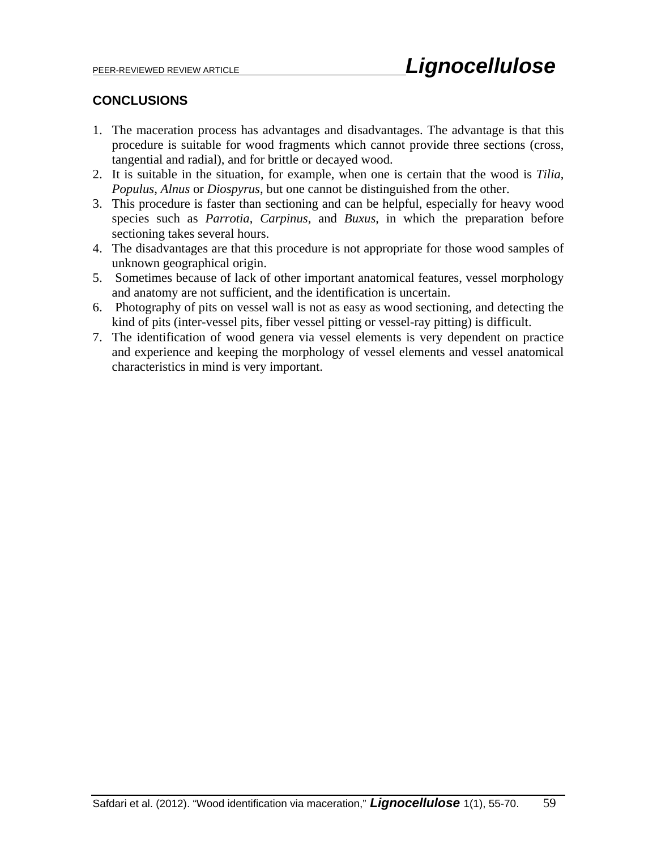### **CONCLUSIONS**

- 1. The maceration process has advantages and disadvantages. The advantage is that this procedure is suitable for wood fragments which cannot provide three sections (cross, tangential and radial), and for brittle or decayed wood.
- 2. It is suitable in the situation, for example, when one is certain that the wood is *Tilia*, *Populus*, *Alnus* or *Diospyrus*, but one cannot be distinguished from the other.
- 3. This procedure is faster than sectioning and can be helpful, especially for heavy wood species such as *Parrotia*, *Carpinus*, and *Buxus*, in which the preparation before sectioning takes several hours.
- 4. The disadvantages are that this procedure is not appropriate for those wood samples of unknown geographical origin.
- 5. Sometimes because of lack of other important anatomical features, vessel morphology and anatomy are not sufficient, and the identification is uncertain.
- 6. Photography of pits on vessel wall is not as easy as wood sectioning, and detecting the kind of pits (inter-vessel pits, fiber vessel pitting or vessel-ray pitting) is difficult.
- 7. The identification of wood genera via vessel elements is very dependent on practice and experience and keeping the morphology of vessel elements and vessel anatomical characteristics in mind is very important.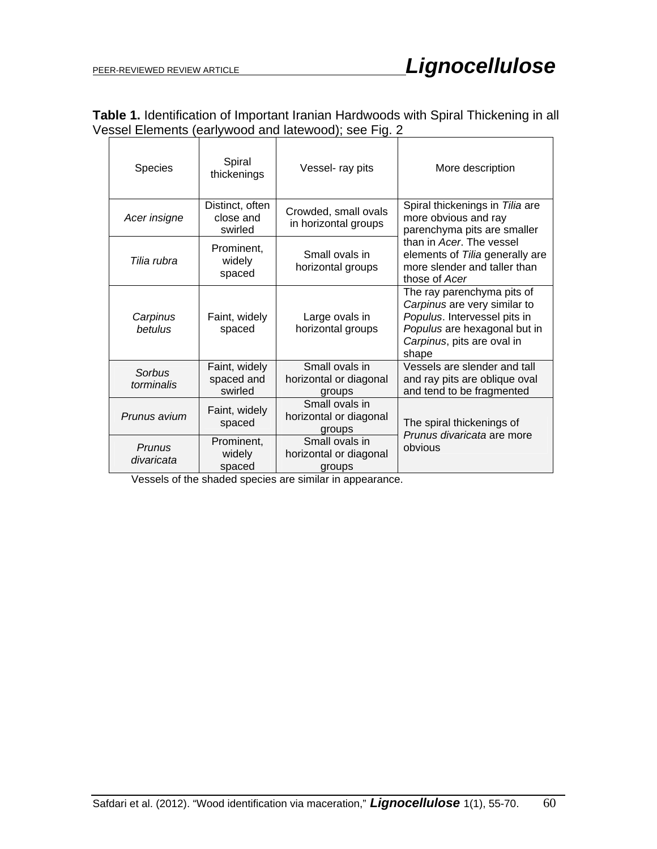| Table 1. Identification of Important Iranian Hardwoods with Spiral Thickening in all |  |
|--------------------------------------------------------------------------------------|--|
| Vessel Elements (earlywood and latewood); see Fig. 2                                 |  |
|                                                                                      |  |

| <b>Species</b>       | Spiral<br>thickenings                   | Vessel- ray pits                                   | More description                                                                                                                                                  |  |
|----------------------|-----------------------------------------|----------------------------------------------------|-------------------------------------------------------------------------------------------------------------------------------------------------------------------|--|
| Acer insigne         | Distinct, often<br>close and<br>swirled | Crowded, small ovals<br>in horizontal groups       | Spiral thickenings in Tilia are<br>more obvious and ray<br>parenchyma pits are smaller                                                                            |  |
| Tilia rubra          | Prominent,<br>widely<br>spaced          | Small ovals in<br>horizontal groups                | than in Acer. The vessel<br>elements of Tilia generally are<br>more slender and taller than<br>those of Acer                                                      |  |
| Carpinus<br>betulus  | Faint, widely<br>spaced                 | Large ovals in<br>horizontal groups                | The ray parenchyma pits of<br>Carpinus are very similar to<br>Populus. Intervessel pits in<br>Populus are hexagonal but in<br>Carpinus, pits are oval in<br>shape |  |
| Sorbus<br>torminalis | Faint, widely<br>spaced and<br>swirled  | Small ovals in<br>horizontal or diagonal<br>groups | Vessels are slender and tall<br>and ray pits are oblique oval<br>and tend to be fragmented                                                                        |  |
| Prunus avium         | Faint, widely<br>spaced                 | Small ovals in<br>horizontal or diagonal<br>groups | The spiral thickenings of<br>Prunus divaricata are more                                                                                                           |  |
| Prunus<br>divaricata | Prominent,<br>widely<br>spaced          | Small ovals in<br>horizontal or diagonal<br>groups | obvious                                                                                                                                                           |  |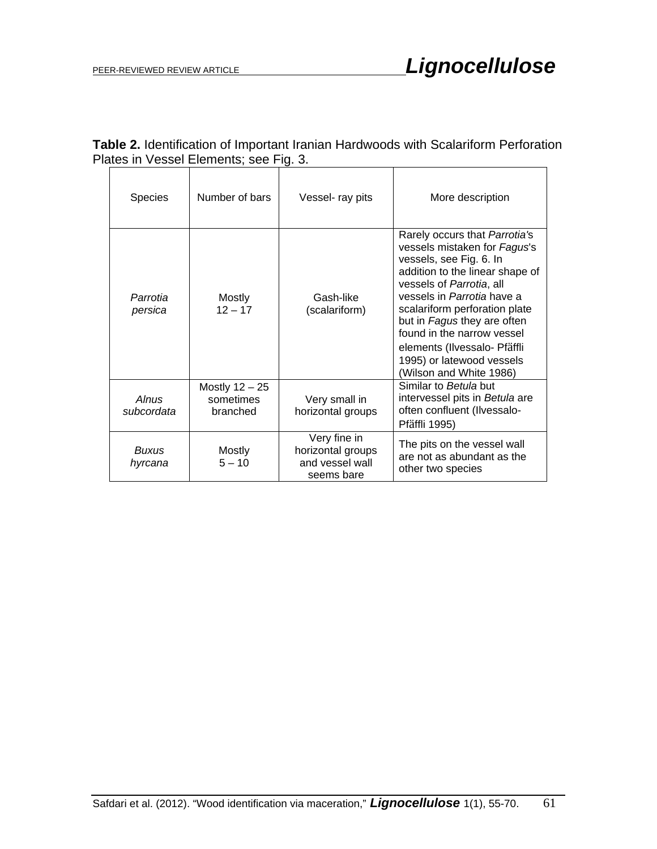## **Table 2.** Identification of Important Iranian Hardwoods with Scalariform Perforation Plates in Vessel Elements; see Fig. 3.

| <b>Species</b>          | Number of bars                            | Vessel- ray pits                                                   | More description                                                                                                                                                                                                                                                                                                                                                            |
|-------------------------|-------------------------------------------|--------------------------------------------------------------------|-----------------------------------------------------------------------------------------------------------------------------------------------------------------------------------------------------------------------------------------------------------------------------------------------------------------------------------------------------------------------------|
| Parrotia<br>persica     | Mostly<br>$12 - 17$                       | Gash-like<br>(scalariform)                                         | Rarely occurs that Parrotia's<br>vessels mistaken for Fagus's<br>vessels, see Fig. 6. In<br>addition to the linear shape of<br>vessels of Parrotia, all<br>vessels in Parrotia have a<br>scalariform perforation plate<br>but in Fagus they are often<br>found in the narrow vessel<br>elements (Ilvessalo- Pfäffli<br>1995) or latewood vessels<br>(Wilson and White 1986) |
| Alnus<br>subcordata     | Mostly $12 - 25$<br>sometimes<br>branched | Very small in<br>horizontal groups                                 | Similar to Betula but<br>intervessel pits in Betula are<br>often confluent (Ilvessalo-<br>Pfäffli 1995)                                                                                                                                                                                                                                                                     |
| <b>Buxus</b><br>hyrcana | Mostly<br>$5 - 10$                        | Very fine in<br>horizontal groups<br>and vessel wall<br>seems bare | The pits on the vessel wall<br>are not as abundant as the<br>other two species                                                                                                                                                                                                                                                                                              |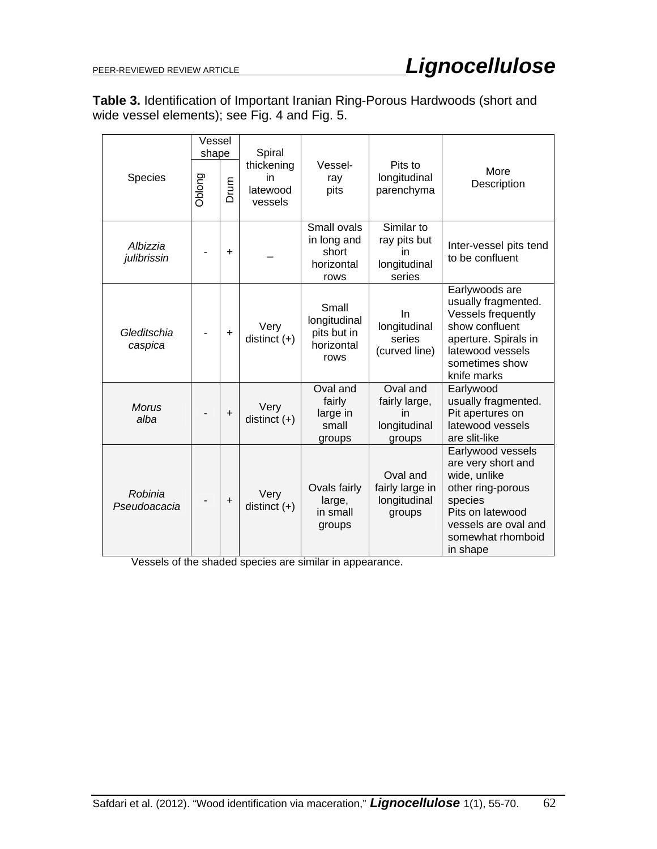**Table 3.** Identification of Important Iranian Ring-Porous Hardwoods (short and wide vessel elements); see Fig. 4 and Fig. 5.

|         |                         | Vessel<br>shape |                                         | Spiral                 |                                                            |                                                            |                                                                                                                                                                      |
|---------|-------------------------|-----------------|-----------------------------------------|------------------------|------------------------------------------------------------|------------------------------------------------------------|----------------------------------------------------------------------------------------------------------------------------------------------------------------------|
| Species | Oblong                  | Drum            | thickening<br>in<br>latewood<br>vessels | Vessel-<br>ray<br>pits | Pits to<br>longitudinal<br>parenchyma                      | More<br>Description                                        |                                                                                                                                                                      |
|         | Albizzia<br>julibrissin |                 | $\ddot{}$                               |                        | Small ovals<br>in long and<br>short<br>horizontal<br>rows  | Similar to<br>ray pits but<br>in<br>longitudinal<br>series | Inter-vessel pits tend<br>to be confluent                                                                                                                            |
|         | Gleditschia<br>caspica  |                 | $\ddot{}$                               | Very<br>distinct $(+)$ | Small<br>longitudinal<br>pits but in<br>horizontal<br>rows | In<br>longitudinal<br>series<br>(curved line)              | Earlywoods are<br>usually fragmented.<br>Vessels frequently<br>show confluent<br>aperture. Spirals in<br>latewood vessels<br>sometimes show<br>knife marks           |
|         | <b>Morus</b><br>alba    |                 | $\ddot{}$                               | Very<br>distinct $(+)$ | Oval and<br>fairly<br>large in<br>small<br>groups          | Oval and<br>fairly large,<br>in<br>longitudinal<br>groups  | Earlywood<br>usually fragmented.<br>Pit apertures on<br>latewood vessels<br>are slit-like                                                                            |
|         | Robinia<br>Pseudoacacia |                 | $\ddot{}$                               | Very<br>distinct $(+)$ | Ovals fairly<br>large,<br>in small<br>groups               | Oval and<br>fairly large in<br>longitudinal<br>groups      | Earlywood vessels<br>are very short and<br>wide, unlike<br>other ring-porous<br>species<br>Pits on latewood<br>vessels are oval and<br>somewhat rhomboid<br>in shape |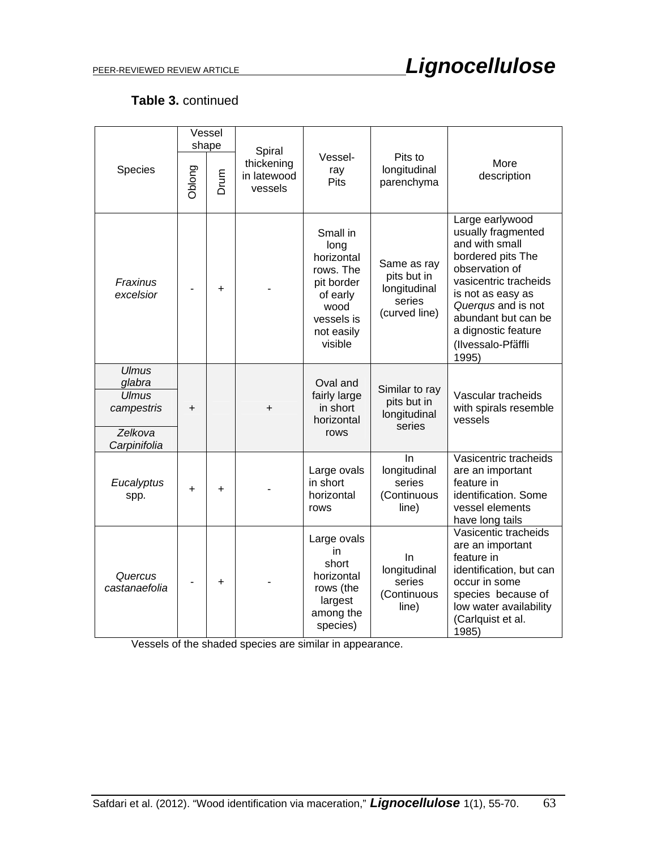## **Table 3.** continued

|                                                                                 | Vessel<br>shape |           | Spiral                               |                                                                                                                      |                                                                       |                                                                                                                                                                                                                                                 |
|---------------------------------------------------------------------------------|-----------------|-----------|--------------------------------------|----------------------------------------------------------------------------------------------------------------------|-----------------------------------------------------------------------|-------------------------------------------------------------------------------------------------------------------------------------------------------------------------------------------------------------------------------------------------|
| Species                                                                         | Oblong          | Drum      | thickening<br>in latewood<br>vessels | Vessel-<br>ray<br><b>Pits</b>                                                                                        | Pits to<br>longitudinal<br>parenchyma                                 | More<br>description                                                                                                                                                                                                                             |
| Fraxinus<br>excelsior                                                           |                 | $\ddot{}$ |                                      | Small in<br>long<br>horizontal<br>rows. The<br>pit border<br>of early<br>wood<br>vessels is<br>not easily<br>visible | Same as ray<br>pits but in<br>longitudinal<br>series<br>(curved line) | Large earlywood<br>usually fragmented<br>and with small<br>bordered pits The<br>observation of<br>vasicentric tracheids<br>is not as easy as<br>Querqus and is not<br>abundant but can be<br>a dignostic feature<br>(Ilvessalo-Pfäffli<br>1995) |
| <b>Ulmus</b><br>glabra<br><b>Ulmus</b><br>campestris<br>Zelkova<br>Carpinifolia | +               |           | +                                    | Oval and<br>fairly large<br>in short<br>horizontal<br>rows                                                           | Similar to ray<br>pits but in<br>longitudinal<br>series               | Vascular tracheids<br>with spirals resemble<br>vessels                                                                                                                                                                                          |
| Eucalyptus<br>spp.                                                              | $\ddot{}$       | $\ddot{}$ |                                      | Large ovals<br>in short<br>horizontal<br>rows                                                                        | In<br>longitudinal<br>series<br>(Continuous<br>line)                  | Vasicentric tracheids<br>are an important<br>feature in<br>identification. Some<br>vessel elements<br>have long tails                                                                                                                           |
| Quercus<br>castanaefolia                                                        |                 | +         |                                      | Large ovals<br>in<br>short<br>horizontal<br>rows (the<br>largest<br>among the<br>species)                            | In<br>longitudinal<br>series<br>(Continuous<br>line)                  | Vasicentic tracheids<br>are an important<br>feature in<br>identification, but can<br>occur in some<br>species because of<br>low water availability<br>(Carlquist et al.<br>1985)                                                                |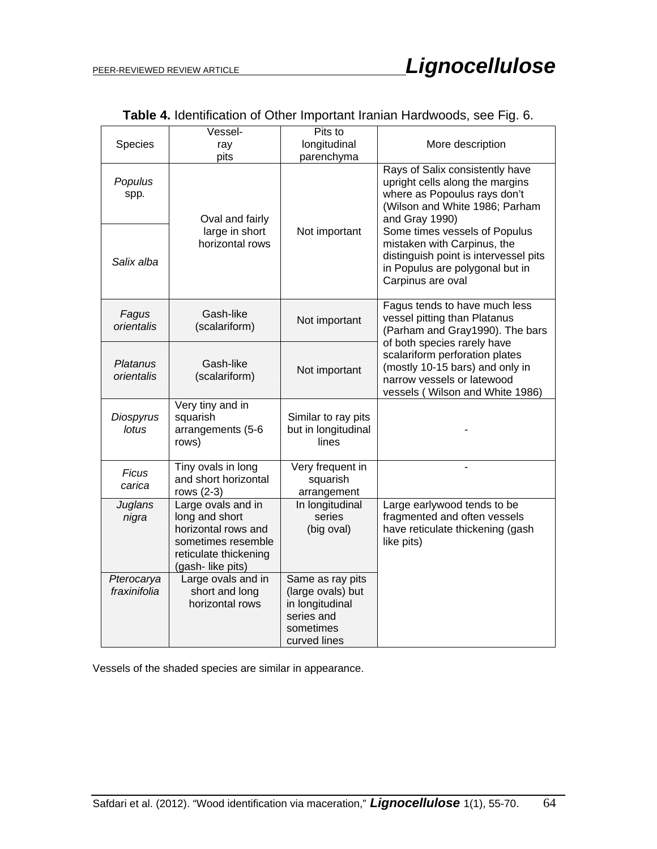| Species                    | Vessel-<br>ray                                                                                                                 | Pits to<br>longitudinal                                                                             | More description                                                                                                                                                  |  |  |
|----------------------------|--------------------------------------------------------------------------------------------------------------------------------|-----------------------------------------------------------------------------------------------------|-------------------------------------------------------------------------------------------------------------------------------------------------------------------|--|--|
|                            | pits                                                                                                                           | parenchyma                                                                                          |                                                                                                                                                                   |  |  |
| Populus<br>spp.            | Oval and fairly                                                                                                                |                                                                                                     | Rays of Salix consistently have<br>upright cells along the margins<br>where as Popoulus rays don't<br>(Wilson and White 1986; Parham<br>and Gray 1990)            |  |  |
| Salix alba                 | large in short<br>horizontal rows                                                                                              | Not important                                                                                       | Some times vessels of Populus<br>mistaken with Carpinus, the<br>distinguish point is intervessel pits<br>in Populus are polygonal but in<br>Carpinus are oval     |  |  |
| Fagus<br>orientalis        | Gash-like<br>(scalariform)                                                                                                     | Not important                                                                                       | Fagus tends to have much less<br>vessel pitting than Platanus<br>(Parham and Gray1990). The bars                                                                  |  |  |
| Platanus<br>orientalis     | Gash-like<br>(scalariform)                                                                                                     | Not important                                                                                       | of both species rarely have<br>scalariform perforation plates<br>(mostly 10-15 bars) and only in<br>narrow vessels or latewood<br>vessels (Wilson and White 1986) |  |  |
| Diospyrus<br>lotus         | Very tiny and in<br>squarish<br>arrangements (5-6<br>rows)                                                                     | Similar to ray pits<br>but in longitudinal<br>lines                                                 |                                                                                                                                                                   |  |  |
| <b>Ficus</b><br>carica     | Tiny ovals in long<br>and short horizontal<br>rows (2-3)                                                                       | Very frequent in<br>squarish<br>arrangement                                                         |                                                                                                                                                                   |  |  |
| Juglans<br>nigra           | Large ovals and in<br>long and short<br>horizontal rows and<br>sometimes resemble<br>reticulate thickening<br>(gash-like pits) | In longitudinal<br>series<br>(big oval)                                                             | Large earlywood tends to be<br>fragmented and often vessels<br>have reticulate thickening (gash<br>like pits)                                                     |  |  |
| Pterocarya<br>fraxinifolia | Large ovals and in<br>short and long<br>horizontal rows                                                                        | Same as ray pits<br>(large ovals) but<br>in longitudinal<br>series and<br>sometimes<br>curved lines |                                                                                                                                                                   |  |  |

**Table 4.** Identification of Other Important Iranian Hardwoods, see Fig. 6.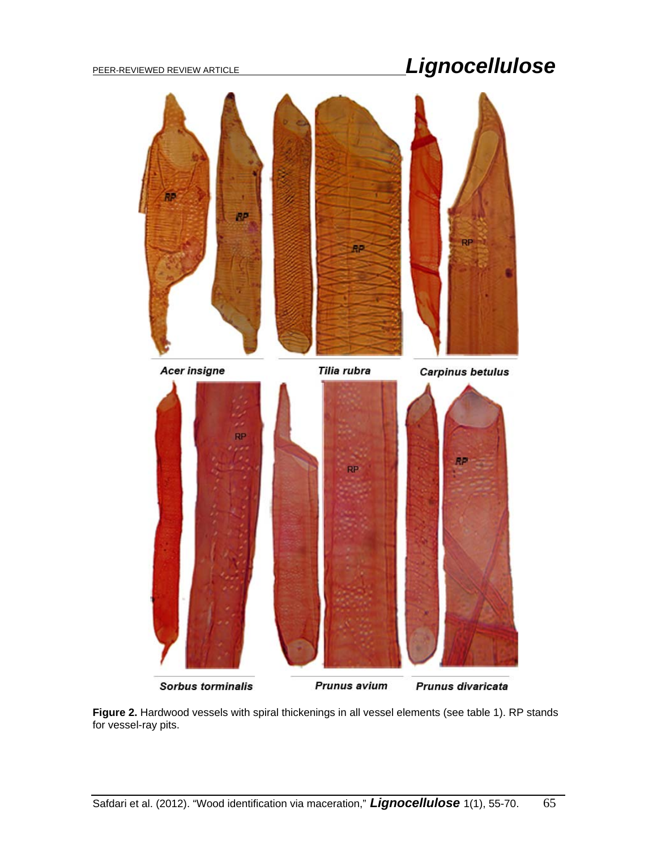

Sorbus torminalis

Prunus avium

Prunus divaricata

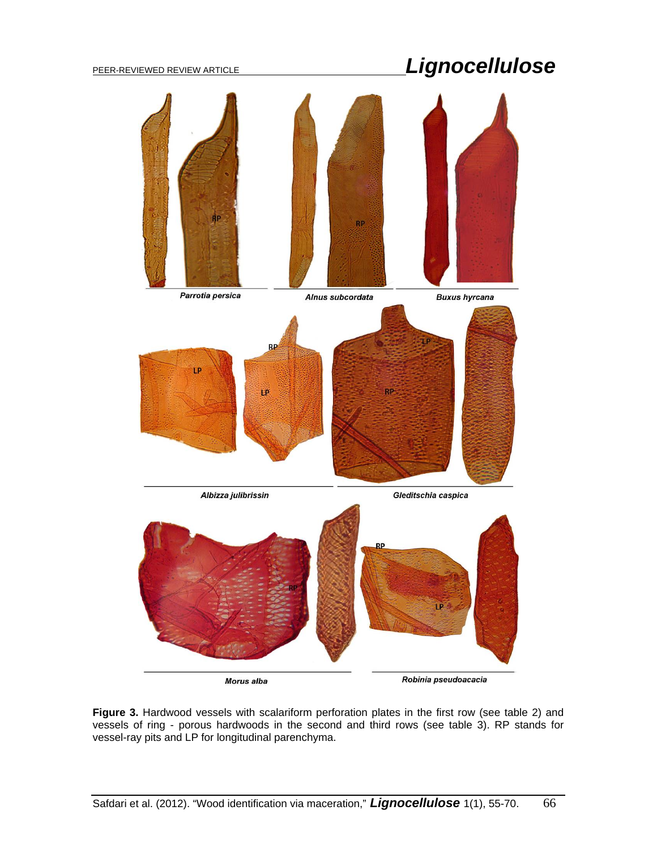

**Figure 3.** Hardwood vessels with scalariform perforation plates in the first row (see table 2) and vessels of ring - porous hardwoods in the second and third rows (see table 3). RP stands for vessel-ray pits and LP for longitudinal parenchyma.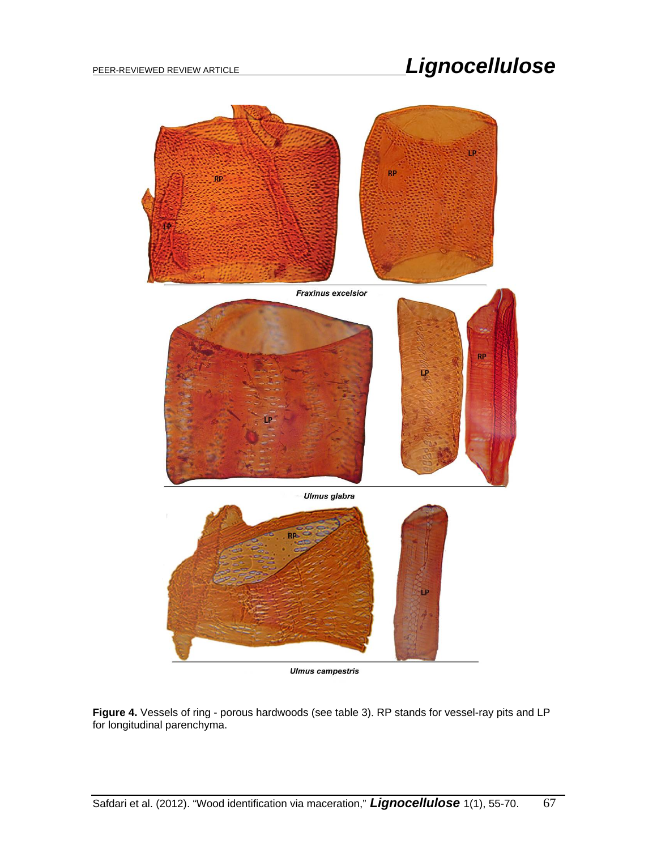

**Ulmus campestris** 

**Figure 4.** Vessels of ring - porous hardwoods (see table 3). RP stands for vessel-ray pits and LP for longitudinal parenchyma.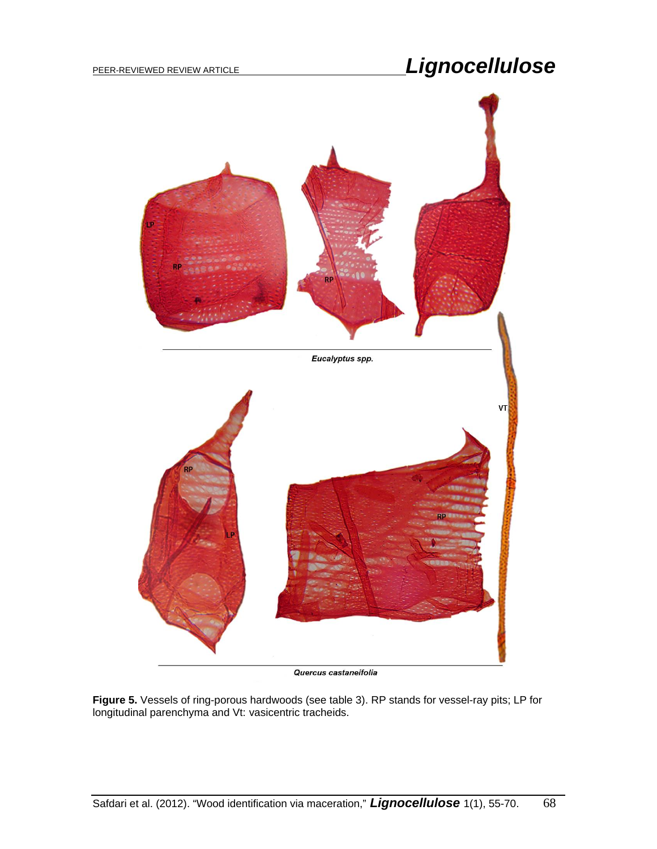

Quercus castaneifolia

**Figure 5.** Vessels of ring-porous hardwoods (see table 3). RP stands for vessel-ray pits; LP for longitudinal parenchyma and Vt: vasicentric tracheids.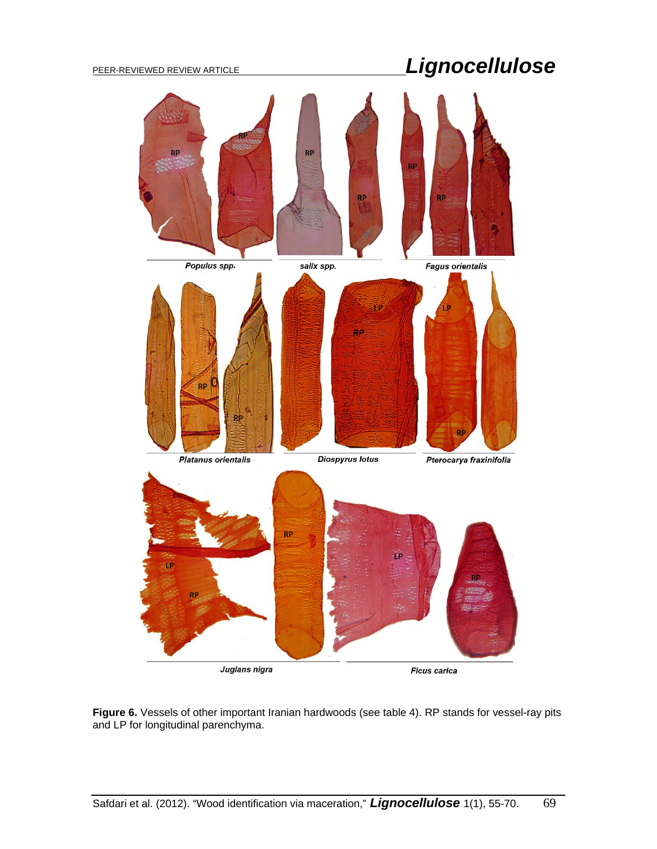

**Figure 6.** Vessels of other important Iranian hardwoods (see table 4). RP stands for vessel-ray pits and LP for longitudinal parenchyma.